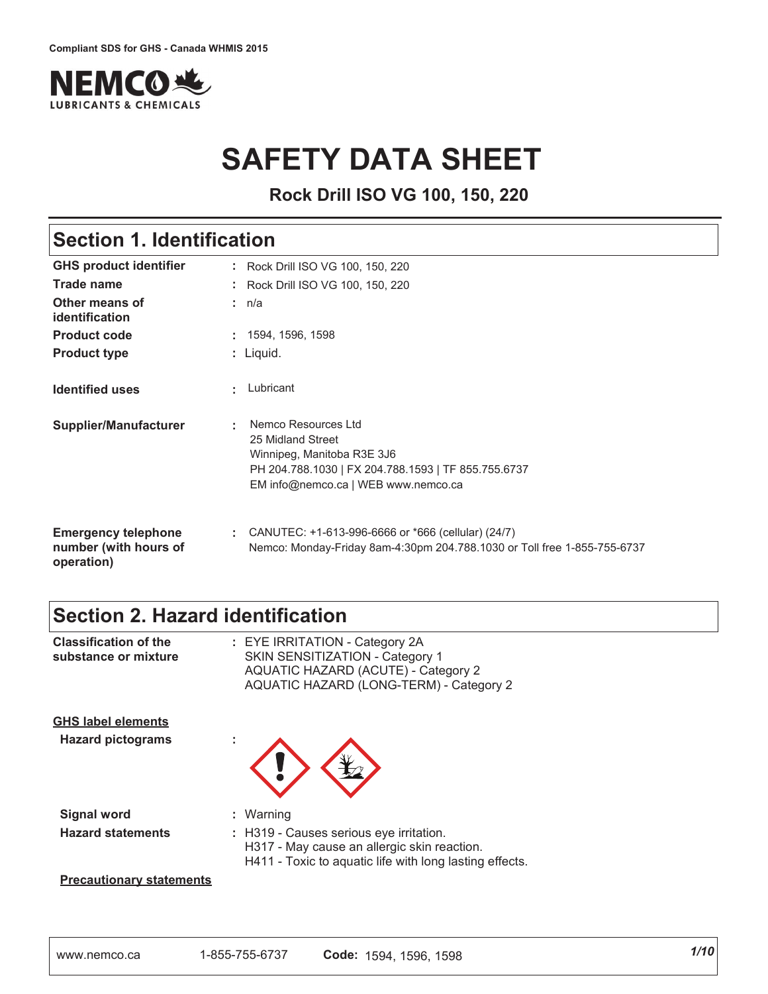

# **SAFETY DATA SHEET**

**Rock Drill ISO VG 100, 150, 220**

# **Section 1. Identification**

| <b>GHS product identifier</b>                                     | : Rock Drill ISO VG 100, 150, 220                                                                                                                                    |
|-------------------------------------------------------------------|----------------------------------------------------------------------------------------------------------------------------------------------------------------------|
| Trade name                                                        | : Rock Drill ISO VG 100, 150, 220                                                                                                                                    |
| Other means of<br>identification                                  | : n/a                                                                                                                                                                |
| <b>Product code</b>                                               | , 1594, 1596, 1598                                                                                                                                                   |
| <b>Product type</b>                                               | : Liquid.                                                                                                                                                            |
| <b>Identified uses</b>                                            | Lubricant                                                                                                                                                            |
| <b>Supplier/Manufacturer</b>                                      | Nemco Resources Ltd<br>25 Midland Street<br>Winnipeg, Manitoba R3E 3J6<br>PH 204.788.1030   FX 204.788.1593   TF 855.755.6737<br>EM info@nemco.ca   WEB www.nemco.ca |
| <b>Emergency telephone</b><br>number (with hours of<br>operation) | : CANUTEC: $+1-613-996-6666$ or $*666$ (cellular) (24/7)<br>Nemco: Monday-Friday 8am-4:30pm 204.788.1030 or Toll free 1-855-755-6737                                 |

# **Section 2. Hazard identification**

| <b>Classification of the</b><br>substance or mixture  | : EYE IRRITATION - Category 2A<br>SKIN SENSITIZATION - Category 1<br>AQUATIC HAZARD (ACUTE) - Category 2<br>AQUATIC HAZARD (LONG-TERM) - Category 2          |
|-------------------------------------------------------|--------------------------------------------------------------------------------------------------------------------------------------------------------------|
| <b>GHS label elements</b><br><b>Hazard pictograms</b> |                                                                                                                                                              |
| <b>Signal word</b><br><b>Hazard statements</b>        | Warning<br>: H319 - Causes serious eye irritation.<br>H317 - May cause an allergic skin reaction.<br>H411 - Toxic to aquatic life with long lasting effects. |
| <b>Precautionary statements</b>                       |                                                                                                                                                              |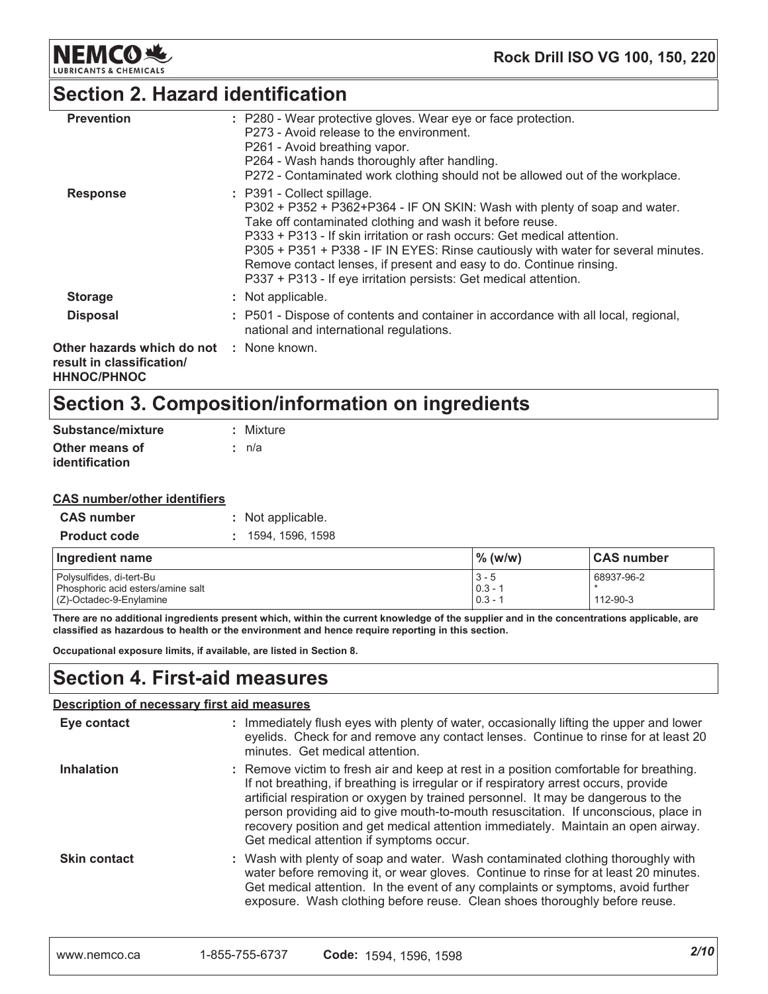

## **Section 2. Hazard identification**

| <b>Prevention</b>                                                                           | : P280 - Wear protective gloves. Wear eye or face protection.<br>P273 - Avoid release to the environment.<br>P261 - Avoid breathing vapor.<br>P264 - Wash hands thoroughly after handling.<br>P272 - Contaminated work clothing should not be allowed out of the workplace.                                                                                                                                                                                                    |
|---------------------------------------------------------------------------------------------|--------------------------------------------------------------------------------------------------------------------------------------------------------------------------------------------------------------------------------------------------------------------------------------------------------------------------------------------------------------------------------------------------------------------------------------------------------------------------------|
| <b>Response</b>                                                                             | : P391 - Collect spillage.<br>P302 + P352 + P362+P364 - IF ON SKIN: Wash with plenty of soap and water.<br>Take off contaminated clothing and wash it before reuse.<br>P333 + P313 - If skin irritation or rash occurs: Get medical attention.<br>P305 + P351 + P338 - IF IN EYES: Rinse cautiously with water for several minutes.<br>Remove contact lenses, if present and easy to do. Continue rinsing.<br>P337 + P313 - If eye irritation persists: Get medical attention. |
| <b>Storage</b>                                                                              | : Not applicable.                                                                                                                                                                                                                                                                                                                                                                                                                                                              |
| <b>Disposal</b>                                                                             | : P501 - Dispose of contents and container in accordance with all local, regional,<br>national and international regulations.                                                                                                                                                                                                                                                                                                                                                  |
| Other hazards which do not : None known.<br>result in classification/<br><b>HHNOC/PHNOC</b> |                                                                                                                                                                                                                                                                                                                                                                                                                                                                                |

# Section 3. Composition/information on ingredients

| Substance/mixture | : Mixture |
|-------------------|-----------|
| Other means of    | ∴ n/a     |
| identification    |           |

#### **CAS number/other identifiers**

| <b>CAS number</b>   | : Not applicable.  |
|---------------------|--------------------|
| <b>Product code</b> | : 1594, 1596, 1598 |

| Ingredient name                   | $\frac{9}{6}$ (w/w) | <b>CAS number</b> |
|-----------------------------------|---------------------|-------------------|
| Polysulfides, di-tert-Bu          | $3 - 5$             | 68937-96-2        |
| Phosphoric acid esters/amine salt | $0.3 - 1$           |                   |
| (Z)-Octadec-9-Enylamine           | $0.3 - 1$           | 112-90-3          |

There are no additional ingredients present which, within the current knowledge of the supplier and in the concentrations applicable, are classified as hazardous to health or the environment and hence require reporting in this section.

Occupational exposure limits, if available, are listed in Section 8.

### **Section 4. First-aid measures**

### **Description of necessary first aid measures**

| Eye contact         | : Immediately flush eyes with plenty of water, occasionally lifting the upper and lower<br>eyelids. Check for and remove any contact lenses. Continue to rinse for at least 20<br>minutes. Get medical attention.                                                                                                                                                                                                                                                                           |
|---------------------|---------------------------------------------------------------------------------------------------------------------------------------------------------------------------------------------------------------------------------------------------------------------------------------------------------------------------------------------------------------------------------------------------------------------------------------------------------------------------------------------|
| <b>Inhalation</b>   | : Remove victim to fresh air and keep at rest in a position comfortable for breathing.<br>If not breathing, if breathing is irregular or if respiratory arrest occurs, provide<br>artificial respiration or oxygen by trained personnel. It may be dangerous to the<br>person providing aid to give mouth-to-mouth resuscitation. If unconscious, place in<br>recovery position and get medical attention immediately. Maintain an open airway.<br>Get medical attention if symptoms occur. |
| <b>Skin contact</b> | : Wash with plenty of soap and water. Wash contaminated clothing thoroughly with<br>water before removing it, or wear gloves. Continue to rinse for at least 20 minutes.<br>Get medical attention. In the event of any complaints or symptoms, avoid further<br>exposure. Wash clothing before reuse. Clean shoes thoroughly before reuse.                                                                                                                                                  |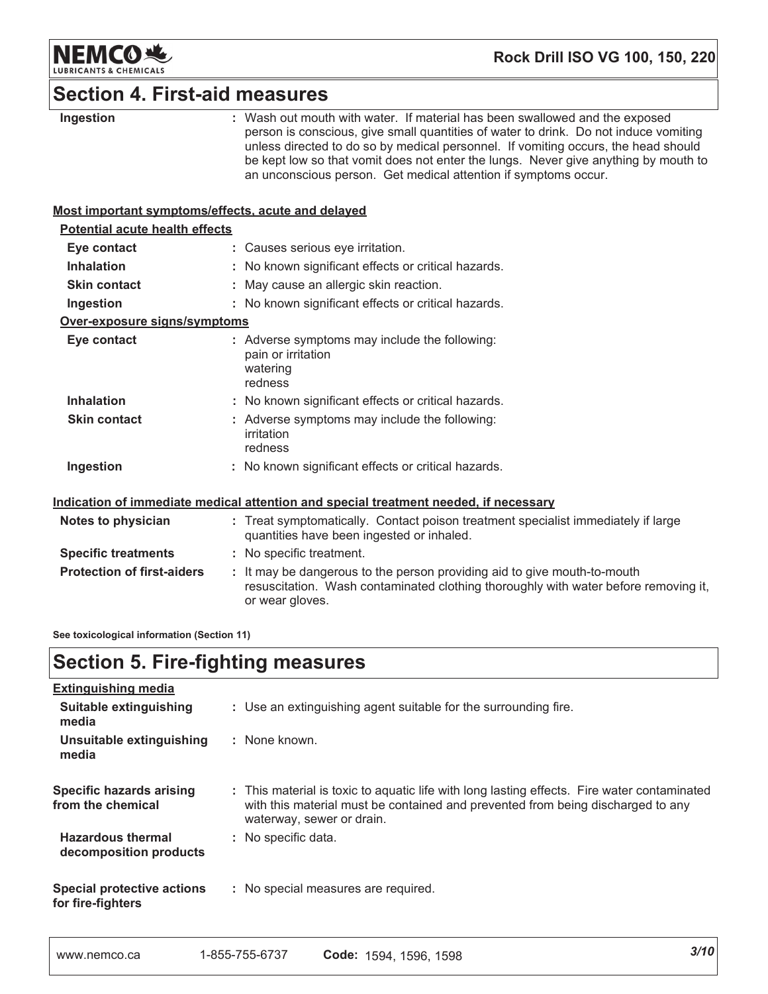

# **Section 4. First-aid measures**

| Ingestion                                          | : Wash out mouth with water. If material has been swallowed and the exposed<br>person is conscious, give small quantities of water to drink. Do not induce vomiting<br>unless directed to do so by medical personnel. If vomiting occurs, the head should<br>be kept low so that vomit does not enter the lungs. Never give anything by mouth to<br>an unconscious person. Get medical attention if symptoms occur. |
|----------------------------------------------------|---------------------------------------------------------------------------------------------------------------------------------------------------------------------------------------------------------------------------------------------------------------------------------------------------------------------------------------------------------------------------------------------------------------------|
| Most important symptoms/effects, acute and delayed |                                                                                                                                                                                                                                                                                                                                                                                                                     |
| <b>Potential acute health effects</b>              |                                                                                                                                                                                                                                                                                                                                                                                                                     |
| Eye contact                                        | : Causes serious eye irritation.                                                                                                                                                                                                                                                                                                                                                                                    |
| Inhalation                                         | : No known significant effects or critical hazards.                                                                                                                                                                                                                                                                                                                                                                 |
| <b>Skin contact</b>                                | : May cause an allergic skin reaction.                                                                                                                                                                                                                                                                                                                                                                              |
| Ingestion                                          | : No known significant effects or critical hazards.                                                                                                                                                                                                                                                                                                                                                                 |
| Over-exposure signs/symptoms                       |                                                                                                                                                                                                                                                                                                                                                                                                                     |
| Eye contact                                        | : Adverse symptoms may include the following:<br>pain or irritation<br>watering<br>redness                                                                                                                                                                                                                                                                                                                          |
| <b>Inhalation</b>                                  | : No known significant effects or critical hazards.                                                                                                                                                                                                                                                                                                                                                                 |
| <b>Skin contact</b>                                | : Adverse symptoms may include the following:<br>irritation<br>redness                                                                                                                                                                                                                                                                                                                                              |
| Ingestion                                          | : No known significant effects or critical hazards.                                                                                                                                                                                                                                                                                                                                                                 |
|                                                    | Indication of immediate medical attention and special treatment needed, if necessary                                                                                                                                                                                                                                                                                                                                |
| Notes to physician                                 | : Treat symptomatically. Contact poison treatment specialist immediately if large<br>quantities have been ingested or inhaled.                                                                                                                                                                                                                                                                                      |
| <b>Specific treatments</b>                         | : No specific treatment.                                                                                                                                                                                                                                                                                                                                                                                            |
| <b>Protection of first-aiders</b>                  | It may be dangerous to the person providing aid to give mouth-to-mouth<br>resuscitation. Wash contaminated clothing thoroughly with water before removing it,<br>or wear gloves.                                                                                                                                                                                                                                    |
| See toxicological information (Section 11)         |                                                                                                                                                                                                                                                                                                                                                                                                                     |

# **Section 5. Fire-fighting measures**

| Extinguishing media                                  |                                                                                                                                                                                                             |
|------------------------------------------------------|-------------------------------------------------------------------------------------------------------------------------------------------------------------------------------------------------------------|
| Suitable extinguishing<br>media                      | : Use an extinguishing agent suitable for the surrounding fire.                                                                                                                                             |
| Unsuitable extinguishing<br>media                    | : None known.                                                                                                                                                                                               |
| <b>Specific hazards arising</b><br>from the chemical | : This material is toxic to aquatic life with long lasting effects. Fire water contaminated<br>with this material must be contained and prevented from being discharged to any<br>waterway, sewer or drain. |
| <b>Hazardous thermal</b><br>decomposition products   | : No specific data.                                                                                                                                                                                         |
| Special protective actions<br>for fire-fighters      | : No special measures are required.                                                                                                                                                                         |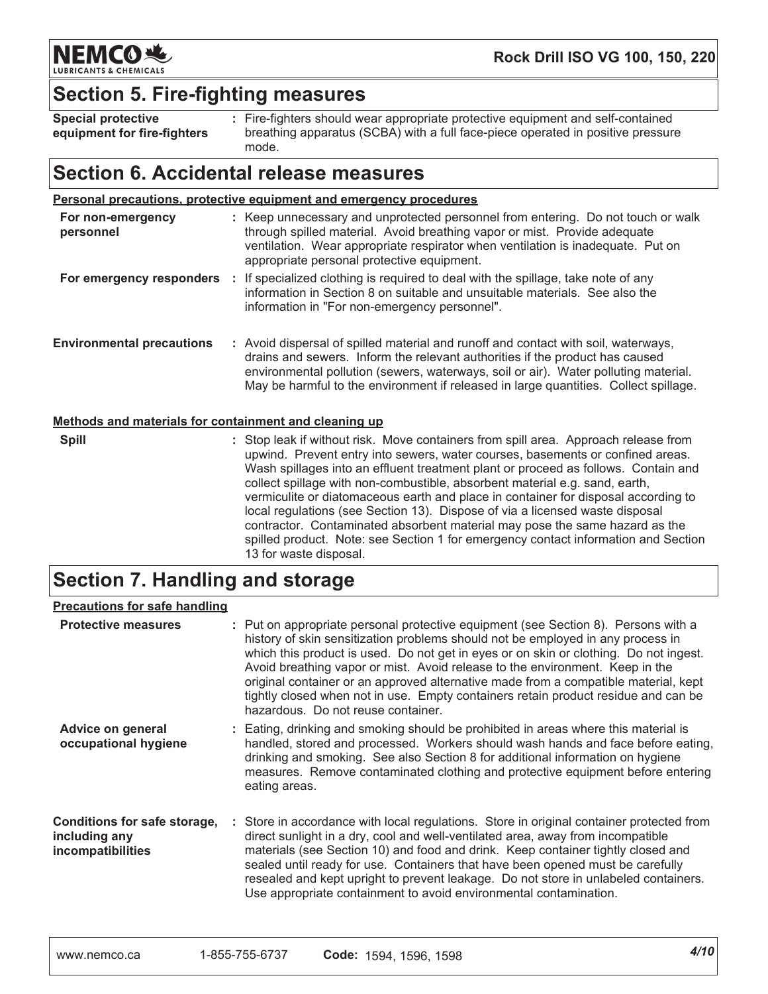

## **Section 5. Fire-fighting measures**

**Special protective** equipment for fire-fighters : Fire-fighters should wear appropriate protective equipment and self-contained breathing apparatus (SCBA) with a full face-piece operated in positive pressure mode.

### Section 6. Accidental release measures

| Personal precautions, protective equipment and emergency procedures |  |                                                                                                                                                                                                                                                                                                                                                   |
|---------------------------------------------------------------------|--|---------------------------------------------------------------------------------------------------------------------------------------------------------------------------------------------------------------------------------------------------------------------------------------------------------------------------------------------------|
| For non-emergency<br>personnel                                      |  | : Keep unnecessary and unprotected personnel from entering. Do not touch or walk<br>through spilled material. Avoid breathing vapor or mist. Provide adequate<br>ventilation. Wear appropriate respirator when ventilation is inadequate. Put on<br>appropriate personal protective equipment.                                                    |
| For emergency responders                                            |  | If specialized clothing is required to deal with the spillage, take note of any<br>information in Section 8 on suitable and unsuitable materials. See also the<br>information in "For non-emergency personnel".                                                                                                                                   |
| <b>Environmental precautions</b>                                    |  | : Avoid dispersal of spilled material and runoff and contact with soil, waterways,<br>drains and sewers. Inform the relevant authorities if the product has caused<br>environmental pollution (sewers, waterways, soil or air). Water polluting material.<br>May be harmful to the environment if released in large quantities. Collect spillage. |

### Methods and materials for containment and cleaning up

| <b>Spill</b><br>: Stop leak if without risk. Move containers from spill area. Approach release from<br>upwind. Prevent entry into sewers, water courses, basements or confined areas.<br>Wash spillages into an effluent treatment plant or proceed as follows. Contain and<br>collect spillage with non-combustible, absorbent material e.g. sand, earth,<br>vermiculite or diatomaceous earth and place in container for disposal according to<br>local regulations (see Section 13). Dispose of via a licensed waste disposal<br>contractor. Contaminated absorbent material may pose the same hazard as the<br>spilled product. Note: see Section 1 for emergency contact information and Section<br>13 for waste disposal. |  |
|---------------------------------------------------------------------------------------------------------------------------------------------------------------------------------------------------------------------------------------------------------------------------------------------------------------------------------------------------------------------------------------------------------------------------------------------------------------------------------------------------------------------------------------------------------------------------------------------------------------------------------------------------------------------------------------------------------------------------------|--|
|---------------------------------------------------------------------------------------------------------------------------------------------------------------------------------------------------------------------------------------------------------------------------------------------------------------------------------------------------------------------------------------------------------------------------------------------------------------------------------------------------------------------------------------------------------------------------------------------------------------------------------------------------------------------------------------------------------------------------------|--|

# **Section 7. Handling and storage**

### **Precautions for safe handling**

| <b>Protective measures</b>                                         | : Put on appropriate personal protective equipment (see Section 8). Persons with a<br>history of skin sensitization problems should not be employed in any process in<br>which this product is used. Do not get in eyes or on skin or clothing. Do not ingest.<br>Avoid breathing vapor or mist. Avoid release to the environment. Keep in the<br>original container or an approved alternative made from a compatible material, kept<br>tightly closed when not in use. Empty containers retain product residue and can be<br>hazardous. Do not reuse container. |
|--------------------------------------------------------------------|-------------------------------------------------------------------------------------------------------------------------------------------------------------------------------------------------------------------------------------------------------------------------------------------------------------------------------------------------------------------------------------------------------------------------------------------------------------------------------------------------------------------------------------------------------------------|
| Advice on general<br>occupational hygiene                          | : Eating, drinking and smoking should be prohibited in areas where this material is<br>handled, stored and processed. Workers should wash hands and face before eating,<br>drinking and smoking. See also Section 8 for additional information on hygiene<br>measures. Remove contaminated clothing and protective equipment before entering<br>eating areas.                                                                                                                                                                                                     |
| Conditions for safe storage,<br>including any<br>incompatibilities | : Store in accordance with local regulations. Store in original container protected from<br>direct sunlight in a dry, cool and well-ventilated area, away from incompatible<br>materials (see Section 10) and food and drink. Keep container tightly closed and<br>sealed until ready for use. Containers that have been opened must be carefully<br>resealed and kept upright to prevent leakage. Do not store in unlabeled containers.<br>Use appropriate containment to avoid environmental contamination.                                                     |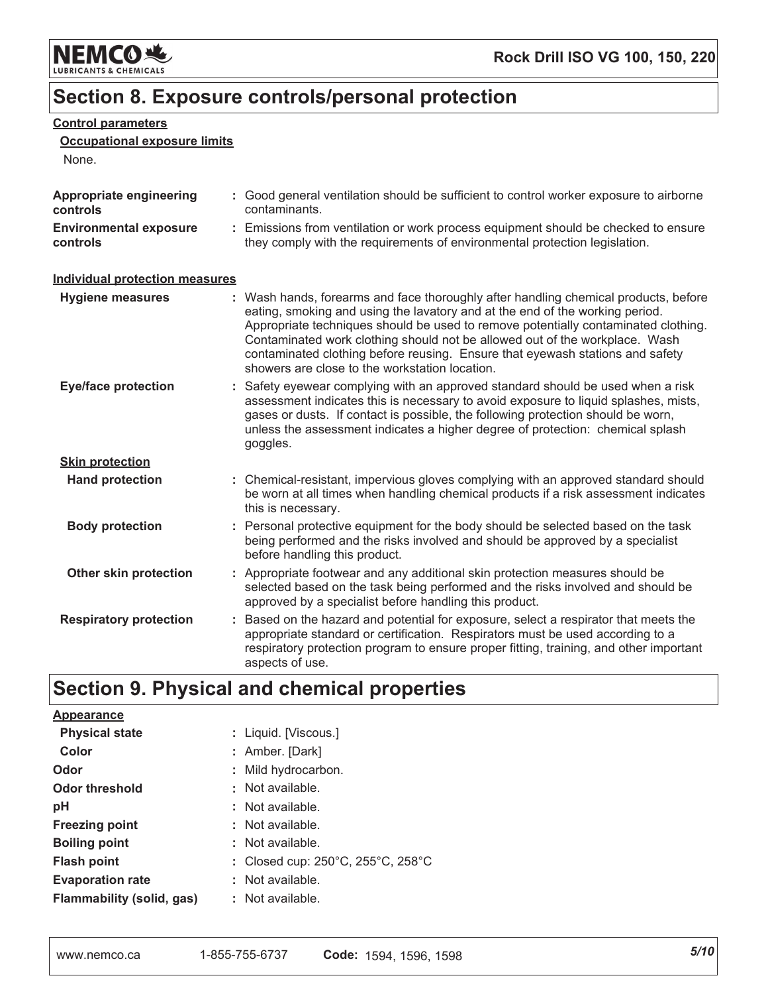

# Section 8. Exposure controls/personal protection

### **Control parameters**

### **Occupational exposure limits**

None.

| Appropriate engineering<br>controls       | : Good general ventilation should be sufficient to control worker exposure to airborne<br>contaminants.                                                                                                                                                                                                                                                                                                                                                                     |
|-------------------------------------------|-----------------------------------------------------------------------------------------------------------------------------------------------------------------------------------------------------------------------------------------------------------------------------------------------------------------------------------------------------------------------------------------------------------------------------------------------------------------------------|
| <b>Environmental exposure</b><br>controls | : Emissions from ventilation or work process equipment should be checked to ensure<br>they comply with the requirements of environmental protection legislation.                                                                                                                                                                                                                                                                                                            |
| <b>Individual protection measures</b>     |                                                                                                                                                                                                                                                                                                                                                                                                                                                                             |
| Hygiene measures                          | : Wash hands, forearms and face thoroughly after handling chemical products, before<br>eating, smoking and using the lavatory and at the end of the working period.<br>Appropriate techniques should be used to remove potentially contaminated clothing.<br>Contaminated work clothing should not be allowed out of the workplace. Wash<br>contaminated clothing before reusing. Ensure that eyewash stations and safety<br>showers are close to the workstation location. |
| <b>Eye/face protection</b>                | : Safety eyewear complying with an approved standard should be used when a risk<br>assessment indicates this is necessary to avoid exposure to liquid splashes, mists,<br>gases or dusts. If contact is possible, the following protection should be worn,<br>unless the assessment indicates a higher degree of protection: chemical splash<br>goggles.                                                                                                                    |
| <b>Skin protection</b>                    |                                                                                                                                                                                                                                                                                                                                                                                                                                                                             |
| <b>Hand protection</b>                    | : Chemical-resistant, impervious gloves complying with an approved standard should<br>be worn at all times when handling chemical products if a risk assessment indicates<br>this is necessary.                                                                                                                                                                                                                                                                             |
| <b>Body protection</b>                    | : Personal protective equipment for the body should be selected based on the task<br>being performed and the risks involved and should be approved by a specialist<br>before handling this product.                                                                                                                                                                                                                                                                         |
| Other skin protection                     | : Appropriate footwear and any additional skin protection measures should be<br>selected based on the task being performed and the risks involved and should be<br>approved by a specialist before handling this product.                                                                                                                                                                                                                                                   |
| <b>Respiratory protection</b>             | : Based on the hazard and potential for exposure, select a respirator that meets the<br>appropriate standard or certification. Respirators must be used according to a<br>respiratory protection program to ensure proper fitting, training, and other important<br>aspects of use.                                                                                                                                                                                         |

# Section 9. Physical and chemical properties

| <b>Appearance</b>         |                                                                 |
|---------------------------|-----------------------------------------------------------------|
| <b>Physical state</b>     | : Liquid. [Viscous.]                                            |
| Color                     | : Amber. [Dark]                                                 |
| Odor                      | : Mild hydrocarbon.                                             |
| <b>Odor threshold</b>     | : Not available.                                                |
| рH                        | : Not available.                                                |
| <b>Freezing point</b>     | : Not available.                                                |
| <b>Boiling point</b>      | : Not available.                                                |
| <b>Flash point</b>        | : Closed cup: $250^{\circ}$ C, $255^{\circ}$ C, $258^{\circ}$ C |
| <b>Evaporation rate</b>   | : Not available.                                                |
| Flammability (solid, gas) | : Not available.                                                |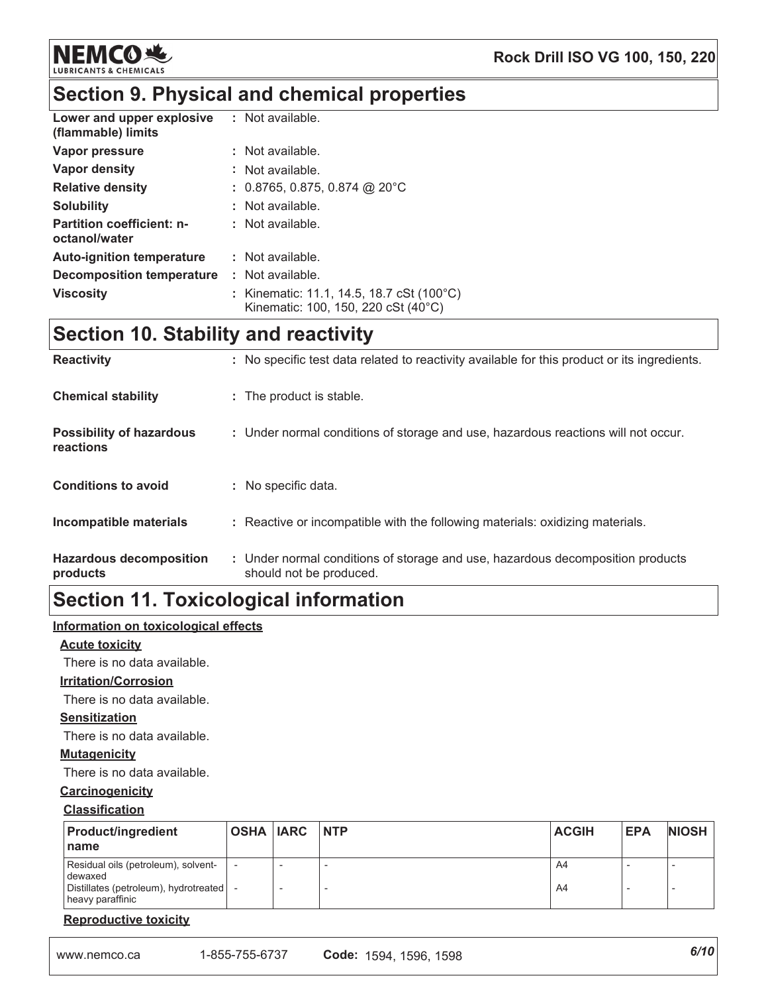

# Section 9. Physical and chemical properties

| Lower and upper explosive<br>(flammable) limits   | : Not available.                                                                             |
|---------------------------------------------------|----------------------------------------------------------------------------------------------|
| Vapor pressure                                    | : Not available.                                                                             |
| Vapor density                                     | : Not available.                                                                             |
| <b>Relative density</b>                           | $: 0.8765, 0.875, 0.874$ @ 20°C                                                              |
| <b>Solubility</b>                                 | : Not available.                                                                             |
| <b>Partition coefficient: n-</b><br>octanol/water | : Not available.                                                                             |
| <b>Auto-ignition temperature</b>                  | : Not available.                                                                             |
| Decomposition temperature                         | $:$ Not available.                                                                           |
| <b>Viscosity</b>                                  | : Kinematic: 11.1, 14.5, 18.7 cSt (100°C)<br>Kinematic: $100, 150, 220$ cSt $(40^{\circ}$ C) |

# **Section 10. Stability and reactivity**

| <b>Reactivity</b>                            | : No specific test data related to reactivity available for this product or its ingredients.              |
|----------------------------------------------|-----------------------------------------------------------------------------------------------------------|
| <b>Chemical stability</b>                    | : The product is stable.                                                                                  |
| <b>Possibility of hazardous</b><br>reactions | : Under normal conditions of storage and use, hazardous reactions will not occur.                         |
| <b>Conditions to avoid</b>                   | : No specific data.                                                                                       |
| Incompatible materials                       | : Reactive or incompatible with the following materials: oxidizing materials.                             |
| <b>Hazardous decomposition</b><br>products   | : Under normal conditions of storage and use, hazardous decomposition products<br>should not be produced. |

# **Section 11. Toxicological information**

### Information on toxicological effects

### **Acute toxicity**

There is no data available.

### **Irritation/Corrosion**

There is no data available.

### **Sensitization**

There is no data available.

### **Mutagenicity**

There is no data available.

### Carcinogenicity

### **Classification**

| <b>Product/ingredient</b><br>l name                                                                         | <b>OSHA IARC INTP</b> | <b>ACGIH</b> | <b>EPA</b> | <b>NIOSH</b> |
|-------------------------------------------------------------------------------------------------------------|-----------------------|--------------|------------|--------------|
| Residual oils (petroleum), solvent-<br>dewaxed<br>Distillates (petroleum), hydrotreated<br>heavy paraffinic |                       | A4<br>A4     |            |              |

### **Reproductive toxicity**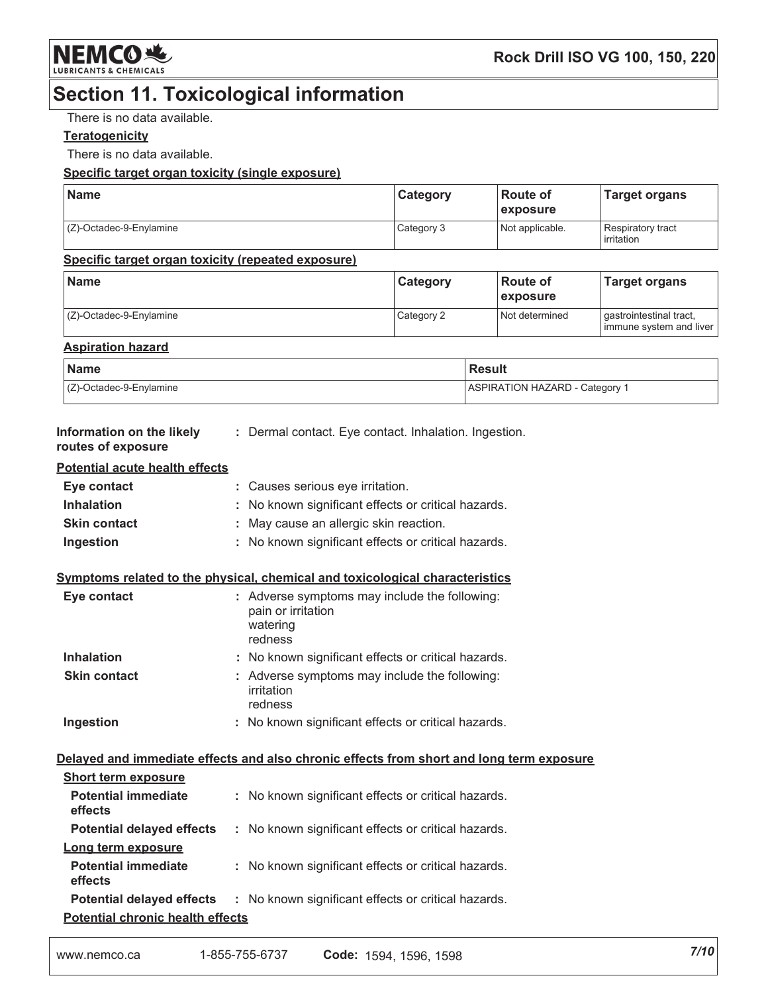

# **Section 11. Toxicological information**

There is no data available.

### **Teratogenicity**

There is no data available.

### Specific target organ toxicity (single exposure)

| <b>Name</b>                | Category   | Route of<br><b>exposure</b> | Target organs                            |
|----------------------------|------------|-----------------------------|------------------------------------------|
| $(C)$ -Octadec-9-Enylamine | Category 3 | Not applicable.             | Respiratory tract<br><b>l</b> irritation |

#### Specific target organ toxicity (repeated exposure)

| <b>Name</b>             | <b>Category</b> | ⊺Route of<br><i><b>Lexposure</b></i> | <b>Target organs</b>                               |
|-------------------------|-----------------|--------------------------------------|----------------------------------------------------|
| (Z)-Octadec-9-Enylamine | Category 2      | Not determined                       | gastrointestinal tract,<br>immune system and liver |

#### **Aspiration hazard**

| <b>Name</b>                | Result                                |
|----------------------------|---------------------------------------|
| $(Z)$ -Octadec-9-Enylamine | <b>ASPIRATION HAZARD - Category 1</b> |

| Information on the likely | Dermal contact. Eye contact. Inhalation. Ingestion. |  |  |
|---------------------------|-----------------------------------------------------|--|--|
| routes of exposure        |                                                     |  |  |

#### **Potential acute health effects**

| Eye contact         | : Causes serious eye irritation.                    |
|---------------------|-----------------------------------------------------|
| <b>Inhalation</b>   | : No known significant effects or critical hazards. |
| <b>Skin contact</b> | : May cause an allergic skin reaction.              |
| Ingestion           | : No known significant effects or critical hazards. |

### Symptoms related to the physical, chemical and toxicological characteristics

| Eye contact         | : Adverse symptoms may include the following:<br>pain or irritation<br>watering<br>redness |
|---------------------|--------------------------------------------------------------------------------------------|
| <b>Inhalation</b>   | : No known significant effects or critical hazards.                                        |
| <b>Skin contact</b> | : Adverse symptoms may include the following:<br>irritation<br>redness                     |
| Ingestion           | : No known significant effects or critical hazards.                                        |

### Delayed and immediate effects and also chronic effects from short and long term exposure

| <b>Short term exposure</b>              |                                                     |  |  |  |
|-----------------------------------------|-----------------------------------------------------|--|--|--|
| <b>Potential immediate</b><br>effects   | : No known significant effects or critical hazards. |  |  |  |
| <b>Potential delayed effects</b>        | : No known significant effects or critical hazards. |  |  |  |
| Long term exposure                      |                                                     |  |  |  |
| <b>Potential immediate</b><br>effects   | : No known significant effects or critical hazards. |  |  |  |
| <b>Potential delayed effects</b>        | : No known significant effects or critical hazards. |  |  |  |
| <b>Potential chronic health effects</b> |                                                     |  |  |  |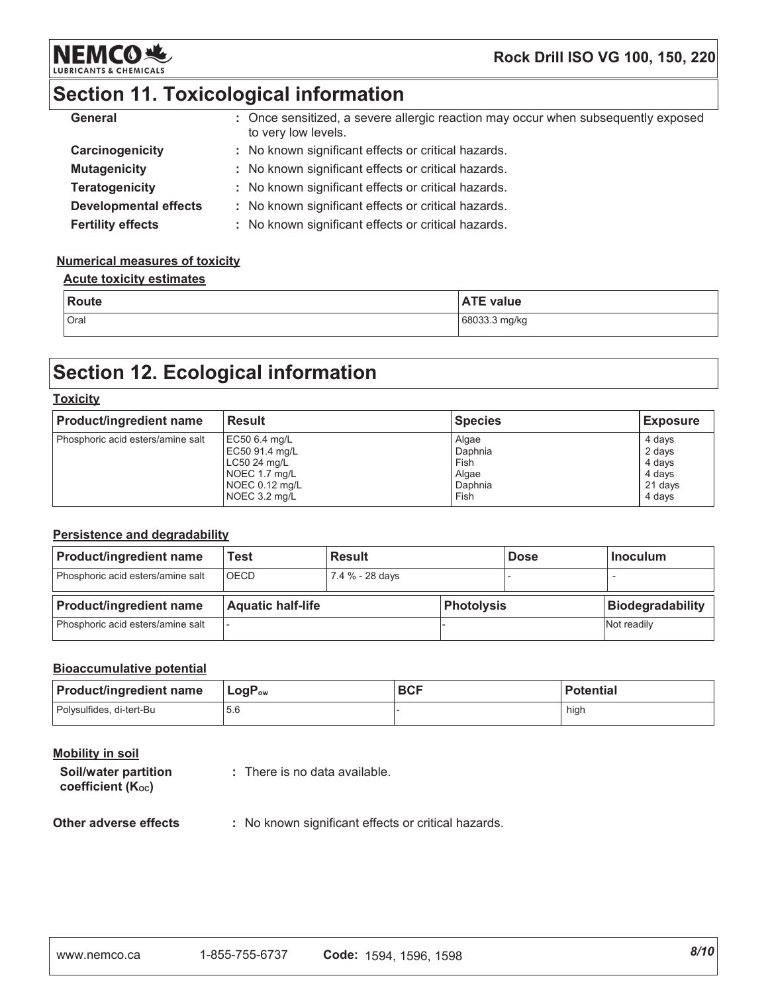

### Rock Drill ISO VG 100, 150, 220

# Section 11. Toxicological information

| General                      | : Once sensitized, a severe allergic reaction may occur when subsequently exposed<br>to very low levels. |
|------------------------------|----------------------------------------------------------------------------------------------------------|
| Carcinogenicity              | : No known significant effects or critical hazards.                                                      |
| <b>Mutagenicity</b>          | : No known significant effects or critical hazards.                                                      |
| <b>Teratogenicity</b>        | : No known significant effects or critical hazards.                                                      |
| <b>Developmental effects</b> | : No known significant effects or critical hazards.                                                      |
| <b>Fertility effects</b>     | : No known significant effects or critical hazards.                                                      |

### **Numerical measures of toxicity**

#### **Acute toxicity estimates**

| Route | <b>ATE value</b> |
|-------|------------------|
| Oral  | 68033.3 mg/kg    |

# **Section 12. Ecological information**

#### **Toxicity**

| <b>Product/ingredient name</b>    | <b>Result</b>  | <b>Species</b> | <b>Exposure</b> |
|-----------------------------------|----------------|----------------|-----------------|
| Phosphoric acid esters/amine salt | EC50 6.4 mg/L  | Algae          | 4 days          |
|                                   | EC50 91.4 mg/L | Daphnia        | 2 days          |
|                                   | LC50 24 mg/L   | Fish           | 4 days          |
|                                   | NOEC 1.7 mg/L  | Algae          | 4 davs          |
|                                   | NOEC 0.12 mg/L | Daphnia        | 21 days         |
|                                   | NOEC 3.2 mg/L  | Fish           | 4 davs          |

### Persistence and degradability

| <b>Product/ingredient name</b>    | Test                     | Result          |            | <b>Dose</b> | <b>Inoculum</b>         |
|-----------------------------------|--------------------------|-----------------|------------|-------------|-------------------------|
| Phosphoric acid esters/amine salt | <b>OECD</b>              | 7.4 % - 28 days |            |             |                         |
|                                   |                          |                 |            |             |                         |
| <b>Product/ingredient name</b>    | <b>Aquatic half-life</b> |                 | Photolysis |             | <b>Biodegradability</b> |

#### **Bioaccumulative potential**

| <b>Product/ingredient name</b> | $\mathsf{LogP}_\mathsf{ow}$ | <b>BCF</b> | <b>Potential</b> |
|--------------------------------|-----------------------------|------------|------------------|
| Polysulfides, di-tert-Bu       | 5.6                         |            | high             |

| Mobility in soil                                       |                               |
|--------------------------------------------------------|-------------------------------|
| Soil/water partition<br>coefficient (K <sub>oc</sub> ) | : There is no data available. |

#### Other adverse effects

: No known significant effects or critical hazards.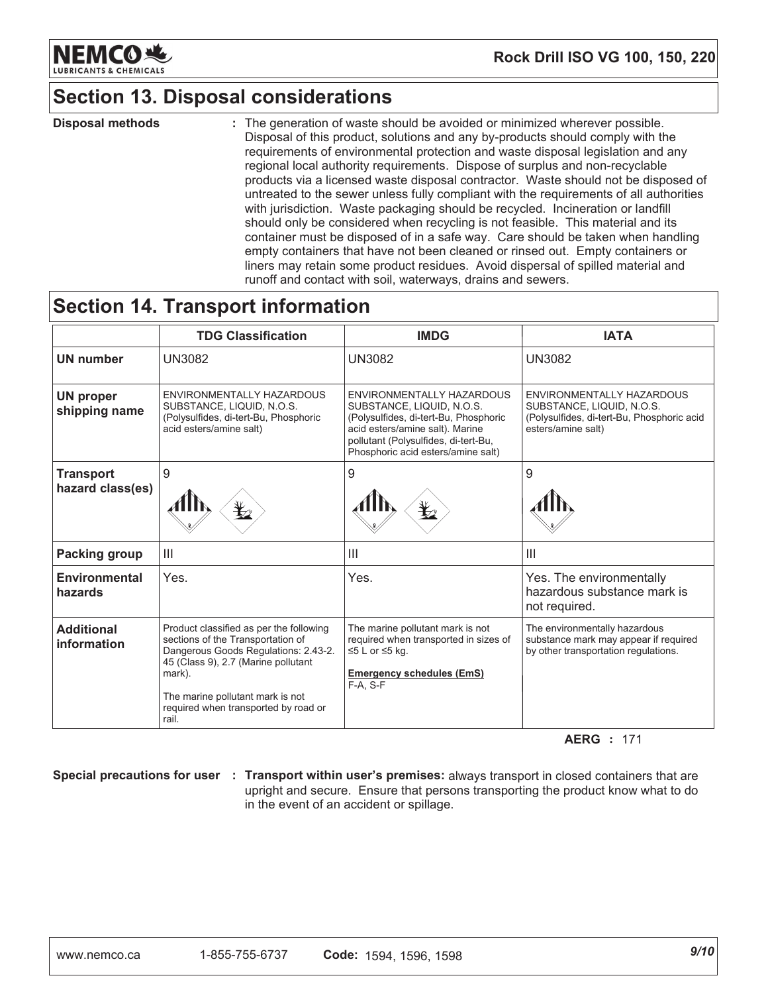

# **Section 13. Disposal considerations**

**Disposal methods** : The generation of waste should be avoided or minimized wherever possible. Disposal of this product, solutions and any by-products should comply with the requirements of environmental protection and waste disposal legislation and any regional local authority requirements. Dispose of surplus and non-recyclable products via a licensed waste disposal contractor. Waste should not be disposed of untreated to the sewer unless fully compliant with the requirements of all authorities with jurisdiction. Waste packaging should be recycled. Incineration or landfill should only be considered when recycling is not feasible. This material and its container must be disposed of in a safe way. Care should be taken when handling empty containers that have not been cleaned or rinsed out. Empty containers or liners may retain some product residues. Avoid dispersal of spilled material and runoff and contact with soil, waterways, drains and sewers.

# **Section 14. Transport information**

|                                      | <b>TDG Classification</b>                                                                                                                                                                                                                                  | <b>IMDG</b>                                                                                                                                                                                                      | <b>IATA</b>                                                                                                                |
|--------------------------------------|------------------------------------------------------------------------------------------------------------------------------------------------------------------------------------------------------------------------------------------------------------|------------------------------------------------------------------------------------------------------------------------------------------------------------------------------------------------------------------|----------------------------------------------------------------------------------------------------------------------------|
| <b>UN number</b>                     | <b>UN3082</b>                                                                                                                                                                                                                                              | <b>UN3082</b>                                                                                                                                                                                                    | <b>UN3082</b>                                                                                                              |
| <b>UN proper</b><br>shipping name    | ENVIRONMENTALLY HAZARDOUS<br>SUBSTANCE, LIQUID, N.O.S.<br>(Polysulfides, di-tert-Bu, Phosphoric<br>acid esters/amine salt)                                                                                                                                 | ENVIRONMENTALLY HAZARDOUS<br>SUBSTANCE, LIQUID, N.O.S.<br>(Polysulfides, di-tert-Bu, Phosphoric<br>acid esters/amine salt). Marine<br>pollutant (Polysulfides, di-tert-Bu,<br>Phosphoric acid esters/amine salt) | ENVIRONMENTALLY HAZARDOUS<br>SUBSTANCE, LIQUID, N.O.S.<br>(Polysulfides, di-tert-Bu, Phosphoric acid<br>esters/amine salt) |
| <b>Transport</b><br>hazard class(es) | 9                                                                                                                                                                                                                                                          | 9<br>$\bigstar$                                                                                                                                                                                                  | 9                                                                                                                          |
| <b>Packing group</b>                 | III                                                                                                                                                                                                                                                        | $\mathbf{III}$                                                                                                                                                                                                   | Ш                                                                                                                          |
| Environmental<br>hazards             | Yes.                                                                                                                                                                                                                                                       | Yes.                                                                                                                                                                                                             | Yes. The environmentally<br>hazardous substance mark is<br>not required.                                                   |
| <b>Additional</b><br>information     | Product classified as per the following<br>sections of the Transportation of<br>Dangerous Goods Regulations: 2.43-2.<br>45 (Class 9), 2.7 (Marine pollutant<br>mark).<br>The marine pollutant mark is not<br>required when transported by road or<br>rail. | The marine pollutant mark is not<br>required when transported in sizes of<br>$≤5$ L or $≤5$ kg.<br><b>Emergency schedules (EmS)</b><br>F-A. S-F                                                                  | The environmentally hazardous<br>substance mark may appear if required<br>by other transportation regulations.             |

**AERG** : 171

Special precautions for user : Transport within user's premises: always transport in closed containers that are upright and secure. Ensure that persons transporting the product know what to do in the event of an accident or spillage.